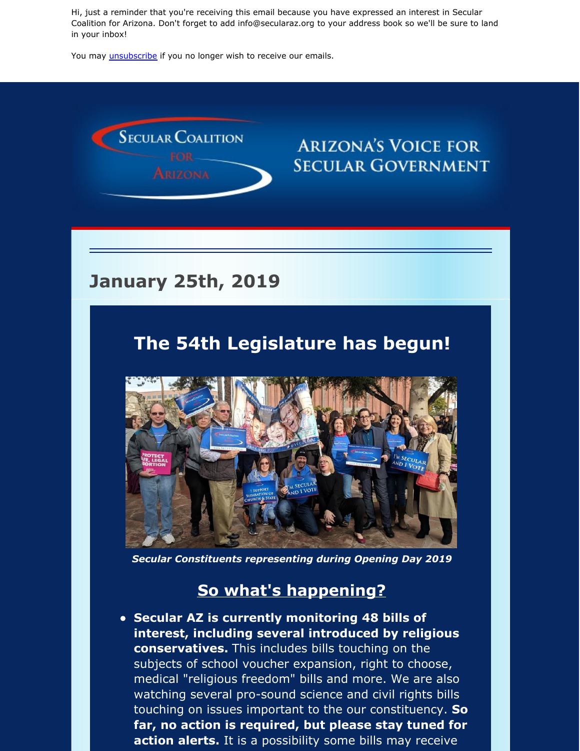Hi, just a reminder that you're receiving this email because you have expressed an interest in Secular Coalition for Arizona. Don't forget to add info@secularaz.org to your address book so we'll be sure to land in your inbox!

You may *[unsubscribe](https://visitor.constantcontact.com/do?p=un&m=001P9cdir9A6TjtWqZlUS4EUA%3D%3D&ch=&ca=8150f0cb-bea6-4a6a-ade1-f49a83f9aa78)* if you no longer wish to receive our emails.



# **SECULAR GOVERNMENT**

#### **January 25th, 2019**

#### **The 54th Legislature has begun!**



*Secular Constituents representing during Opening Day 2019*

#### **So what's happening?**

**Secular AZ is currently monitoring 48 bills of interest, including several introduced by religious conservatives.** This includes bills touching on the subjects of school voucher expansion, right to choose, medical "religious freedom" bills and more. We are also watching several pro-sound science and civil rights bills touching on issues important to the our constituency. **So far, no action is required, but please stay tuned for action alerts.** It is a possibility some bills may receive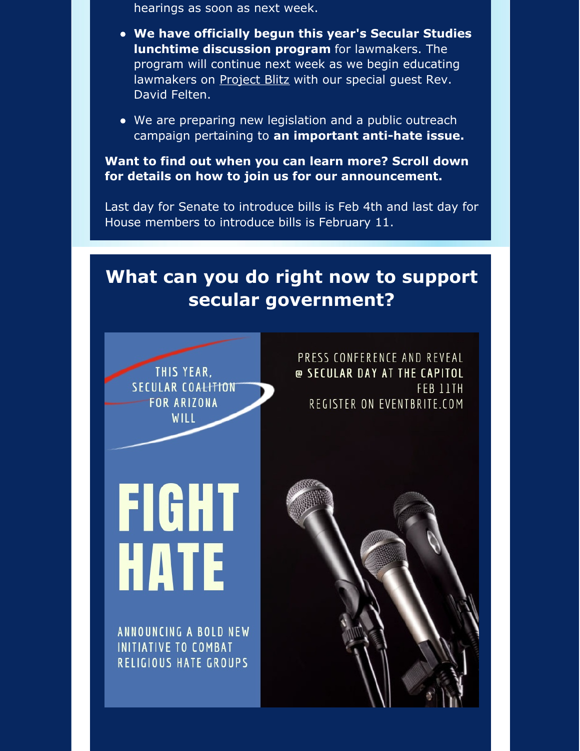hearings as soon as next week.

- **We have officially begun this year's Secular Studies lunchtime discussion program** for lawmakers. The program will continue next week as we begin educating lawmakers on **[Project](https://www.blitzwatch.org/) Blitz** with our special guest Rev. David Felten.
- We are preparing new legislation and a public outreach campaign pertaining to **an important anti-hate issue.**

**Want to find out when you can learn more? Scroll down for details on how to join us for our announcement.**

Last day for Senate to introduce bills is Feb 4th and last day for House members to introduce bills is February 11.

### **What can you do right now to support secular government?**



PRESS CONFERENCE AND REVEAL @ SECULAR DAY AT THE CAPITOL FEB 11TH REGISTER ON EVENTBRITE.COM

# **FIGHT HATE**

ANNOUNCING A BOLD NEW **INITIATIVE TO COMBAT RELIGIOUS HATE GROUPS** 

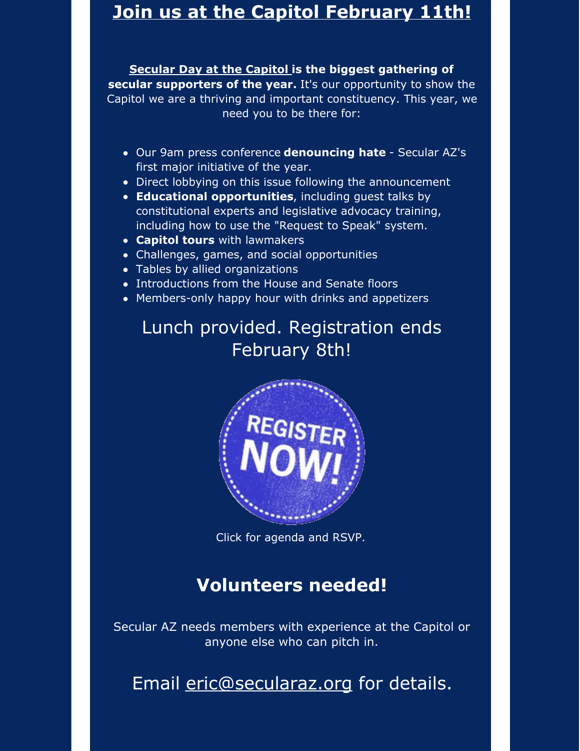#### **Join us at the Capitol [February](https://www.eventbrite.com/e/secular-day-at-the-capitol-2019-tickets-53272653942) 11th!**

**[Secular](https://www.eventbrite.com/e/secular-day-at-the-capitol-2019-tickets-53272653942) Day at the Capitol is the biggest gathering of secular supporters of the year.** It's our opportunity to show the Capitol we are a thriving and important constituency. This year, we need you to be there for:

- Our 9am press conference **denouncing hate** Secular AZ's first major initiative of the year.
- Direct lobbying on this issue following the announcement
- **Educational opportunities**, including guest talks by constitutional experts and legislative advocacy training, including how to use the "Request to Speak" system.
- **Capitol tours** with lawmakers
- Challenges, games, and social opportunities
- Tables by allied organizations
- Introductions from the House and Senate floors
- Members-only happy hour with drinks and appetizers

## Lunch provided. Registration ends February 8th!



Click for agenda and RSVP.

### **Volunteers needed!**

Secular AZ needs members with experience at the Capitol or anyone else who can pitch in.

Email [eric@secularaz.org](mailto:eric@secularaz.org) for details.